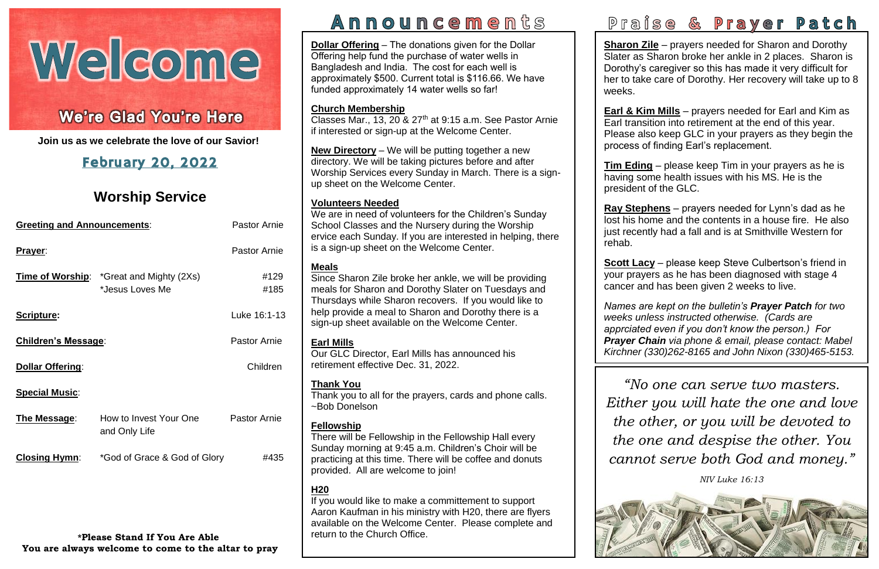# Welcome

# ١

I **Join us as we celebrate the love of our Savior!**

# February 20, 2022

# **Worship Service**

| <b>Greeting and Announcements:</b> |                                                                    | <b>Pastor Arnie</b> |
|------------------------------------|--------------------------------------------------------------------|---------------------|
| Prayer:                            |                                                                    | <b>Pastor Arnie</b> |
|                                    | <b>Time of Worship:</b> *Great and Mighty (2Xs)<br>*Jesus Loves Me | #129<br>#185        |
| Scripture:                         |                                                                    | Luke 16:1-13        |
| <b>Children's Message:</b>         |                                                                    | <b>Pastor Arnie</b> |
| <b>Dollar Offering:</b>            |                                                                    | Children            |
| <b>Special Music:</b>              |                                                                    |                     |
| The Message:                       | How to Invest Your One<br>and Only Life                            | <b>Pastor Arnie</b> |
| <b>Closing Hymn:</b>               | *God of Grace & God of Glory                                       | #435                |
|                                    |                                                                    |                     |
|                                    |                                                                    |                     |

**\*Please Stand If You Are Able You are always welcome to come to the altar to pray**

# Announcements

r rease also keep OLO in your prayers<br>process of finding Earl's replacement. **Earl & Kim Mills** – prayers needed for Earl and Kim as Earl transition into retirement at the end of this year. Please also keep GLC in your prayers as they begin the

> *NIV Luke 16:13*



# Praise & Prayer Patch

**Sharon Zile** – prayers needed for Sharon and Dorothy Slater as Sharon broke her ankle in 2 places. Sharon is Dorothy's caregiver so this has made it very difficult for her to take care of Dorothy. Her recovery will take up to 8 weeks.

 **Tim Eding** – please keep Tim in your prayers as he is having some health issues with his MS. He is the president of the GLC.

Classes Mar., 13, 20  $\&$  27<sup>th</sup> at 9:15 a.m. See Pastor Arnie if interested or sign-up at the Welcome Center.

> *Names are kept on the bulletin's Prayer Patch for two*   *apprciated even if you don't know the person.) For*   *Prayer Chain via phone & email, please contact: Mabel*   *Kirchner (330)262-8165 and John Nixon (330)465-5153. weeks unless instructed otherwise. (Cards are*

**Ray Stephens** – prayers needed for Lynn's dad as he lost his home and the contents in a house fire. He also just recently had a fall and is at Smithville Western for

# rehab.

**Scott Lacy** – please keep oteve Cuibertson's mend is<br>your prayers as he has been diagnosed with stage 4  cancer and has been given 2 weeks to live. **Scott Lacy** – please keep Steve Culbertson's friend in

**Dollar Offering** – The donations given for the Dollar Offering help fund the purchase of water wells in Bangladesh and India. The cost for each well is approximately \$500. Current total is \$116.66. We have funded approximately 14 water wells so far!

### **Church Membership**

 *"No one can serve two masters.*   *Either you will hate the one and love*   *the other, or you will be devoted to*   *the one and despise the other. You*   *cannot serve both God and money."*

**New Directory** – We will be putting together a new directory. We will be taking pictures before and after Worship Services every Sunday in March. There is a signup sheet on the Welcome Center.

### **Volunteers Needed**

We are in need of volunteers for the Children's Sunday School Classes and the Nursery during the Worship ervice each Sunday. If you are interested in helping, there is a sign-up sheet on the Welcome Center.

### **Meals**

Since Sharon Zile broke her ankle, we will be providing meals for Sharon and Dorothy Slater on Tuesdays and Thursdays while Sharon recovers. If you would like to help provide a meal to Sharon and Dorothy there is a sign-up sheet available on the Welcome Center.

### **Earl Mills**

Our GLC Director, Earl Mills has announced his retirement effective Dec. 31, 2022.

### **Thank You**

Thank you to all for the prayers, cards and phone calls. ~Bob Donelson

### **Fellowship**

There will be Fellowship in the Fellowship Hall every Sunday morning at 9:45 a.m. Children's Choir will be practicing at this time. There will be coffee and donuts provided. All are welcome to join!

### **H20**

If you would like to make a committement to support Aaron Kaufman in his ministry with H20, there are flyers available on the Welcome Center. Please complete and return to the Church Office.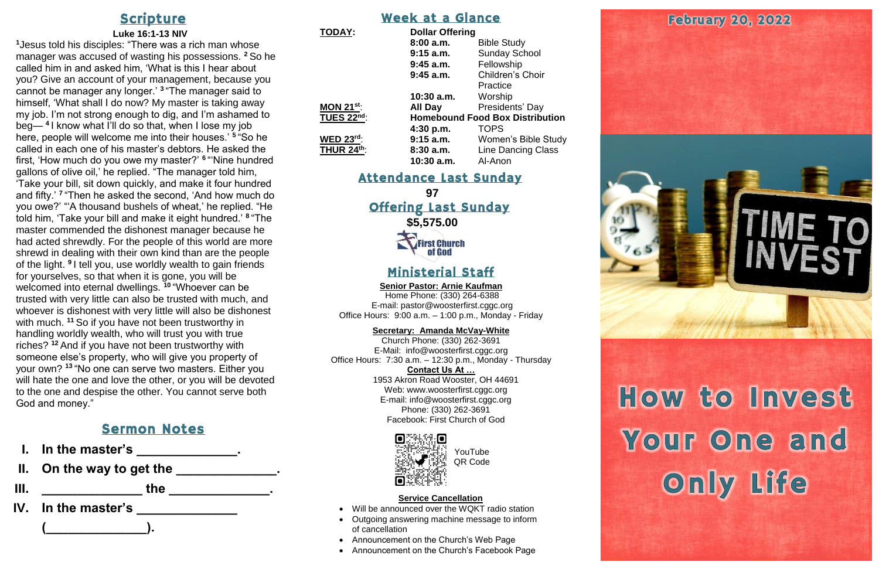## **Scripture**

### **Luke 16:1-13 NIV**

**<sup>1</sup>**Jesus told his disciples: "There was a rich man whose manager was accused of wasting his possessions. **<sup>2</sup>** So he called him in and asked him, 'What is this I hear about you? Give an account of your management, because you cannot be manager any longer.' **<sup>3</sup>** "The manager said to himself, 'What shall I do now? My master is taking away my job. I'm not strong enough to dig, and I'm ashamed to beg— **<sup>4</sup>** I know what I'll do so that, when I lose my job here, people will welcome me into their houses.' **<sup>5</sup>** "So he called in each one of his master's debtors. He asked the first, 'How much do you owe my master?' **<sup>6</sup>** "'Nine hundred gallons of olive oil,' he replied. "The manager told him, 'Take your bill, sit down quickly, and make it four hundred and fifty.' **<sup>7</sup>** "Then he asked the second, 'And how much do you owe?' "'A thousand bushels of wheat,' he replied. "He told him, 'Take your bill and make it eight hundred.' **<sup>8</sup>** "The master commended the dishonest manager because he had acted shrewdly. For the people of this world are more shrewd in dealing with their own kind than are the people of the light. <sup>9</sup> I tell you, use worldly wealth to gain friends for yourselves, so that when it is gone, you will be welcomed into eternal dwellings. **<sup>10</sup>** "Whoever can be trusted with very little can also be trusted with much, and whoever is dishonest with very little will also be dishonest with much. <sup>11</sup> So if you have not been trustworthy in handling worldly wealth, who will trust you with true riches? **<sup>12</sup>** And if you have not been trustworthy with someone else's property, who will give you property of your own? **<sup>13</sup>** "No one can serve two masters. Either you will hate the one and love the other, or you will be devoted to the one and despise the other. You cannot serve both God and money."

- In the master's \_\_\_\_\_\_\_\_\_\_\_\_\_\_.
- **II. On the way to get the \_\_\_\_\_\_\_\_\_\_\_\_\_\_.**

**97** Offering Last Sunday **\$5,575.00 CFirst Church** of God

### Sermon Notes

**III. \_\_\_\_\_\_\_\_\_\_\_\_\_\_ the \_\_\_\_\_\_\_\_\_\_\_\_\_\_.**

**IV. In the master's \_\_\_\_\_\_\_\_\_\_\_\_\_\_** 

**(\_\_\_\_\_\_\_\_\_\_\_\_\_\_).**

### Week at a Glance

| <b>TODAY:</b>     | <b>Dollar Offering</b>                 |                            |
|-------------------|----------------------------------------|----------------------------|
|                   | 8:00a.m.                               | <b>Bible Study</b>         |
|                   | $9:15$ a.m.                            | <b>Sunday School</b>       |
|                   | $9:45$ a.m.                            | Fellowship                 |
|                   | $9:45$ a.m.                            | Children's Choir           |
|                   |                                        | Practice                   |
|                   | $10:30$ a.m.                           | Worship                    |
| MON $21^{st}$ :   | <b>All Day</b>                         | Presidents' Day            |
| <b>TUES 22nd:</b> | <b>Homebound Food Box Distribution</b> |                            |
|                   | 4:30 p.m.                              | <b>TOPS</b>                |
| <b>WED 23rd:</b>  | 9:15 a.m.                              | <b>Women's Bible Study</b> |
| <b>THUR 24th:</b> | 8:30a.m.                               | <b>Line Dancing Class</b>  |
|                   | $10:30$ a.m.                           | Al-Anon                    |

### Attendance Last Sunday

### Ministerial Staff

**Senior Pastor: Arnie Kaufman**

Home Phone: (330) 264-6388 E-mail: [pastor@woosterfirst.cggc.org](mailto:pastor@woosterfirst.cggc.org) Office Hours: 9:00 a.m. – 1:00 p.m., Monday - Friday

### **Secretary: Amanda McVay-White**

Church Phone: (330) 262-3691 E-Mail: info@woosterfirst.cggc.org Office Hours: 7:30 a.m. – 12:30 p.m., Monday - Thursday **Contact Us At …**

1953 Akron Road Wooster, OH 44691 Web: [www.woosterfirst.cggc.org](http://www.woosterfirst.cggc.org/) E-mail: info@woosterfirst.cggc.org Phone: (330) 262-3691 Facebook: First Church of God



### **Service Cancellation**

- Will be announced over the WQKT radio station
- Outgoing answering machine message to inform of cancellation
- Announcement on the Church's Web Page
- Announcement on the Church's Facebook Page





How to Invest Your One and Only Life

YouTube QR Code